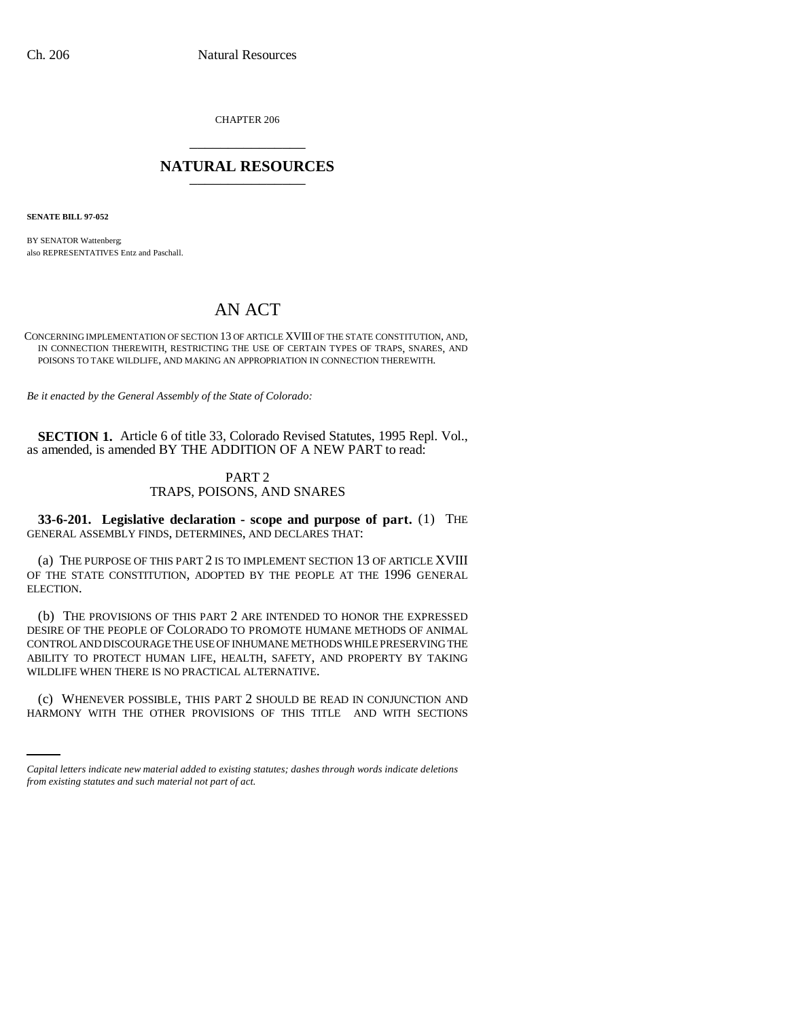CHAPTER 206 \_\_\_\_\_\_\_\_\_\_\_\_\_\_\_

## **NATURAL RESOURCES** \_\_\_\_\_\_\_\_\_\_\_\_\_\_\_

**SENATE BILL 97-052**

BY SENATOR Wattenberg; also REPRESENTATIVES Entz and Paschall.

# AN ACT

#### CONCERNING IMPLEMENTATION OF SECTION 13 OF ARTICLE XVIII OF THE STATE CONSTITUTION, AND, IN CONNECTION THEREWITH, RESTRICTING THE USE OF CERTAIN TYPES OF TRAPS, SNARES, AND POISONS TO TAKE WILDLIFE, AND MAKING AN APPROPRIATION IN CONNECTION THEREWITH.

*Be it enacted by the General Assembly of the State of Colorado:*

**SECTION 1.** Article 6 of title 33, Colorado Revised Statutes, 1995 Repl. Vol., as amended, is amended BY THE ADDITION OF A NEW PART to read:

### PART 2 TRAPS, POISONS, AND SNARES

**33-6-201. Legislative declaration - scope and purpose of part.** (1) THE GENERAL ASSEMBLY FINDS, DETERMINES, AND DECLARES THAT:

(a) THE PURPOSE OF THIS PART 2 IS TO IMPLEMENT SECTION 13 OF ARTICLE XVIII OF THE STATE CONSTITUTION, ADOPTED BY THE PEOPLE AT THE 1996 GENERAL ELECTION.

(b) THE PROVISIONS OF THIS PART 2 ARE INTENDED TO HONOR THE EXPRESSED DESIRE OF THE PEOPLE OF COLORADO TO PROMOTE HUMANE METHODS OF ANIMAL CONTROL AND DISCOURAGE THE USE OF INHUMANE METHODS WHILE PRESERVING THE ABILITY TO PROTECT HUMAN LIFE, HEALTH, SAFETY, AND PROPERTY BY TAKING WILDLIFE WHEN THERE IS NO PRACTICAL ALTERNATIVE.

(c) WHENEVER POSSIBLE, THIS PART 2 SHOULD BE READ IN CONJUNCTION AND HARMONY WITH THE OTHER PROVISIONS OF THIS TITLE AND WITH SECTIONS

*Capital letters indicate new material added to existing statutes; dashes through words indicate deletions from existing statutes and such material not part of act.*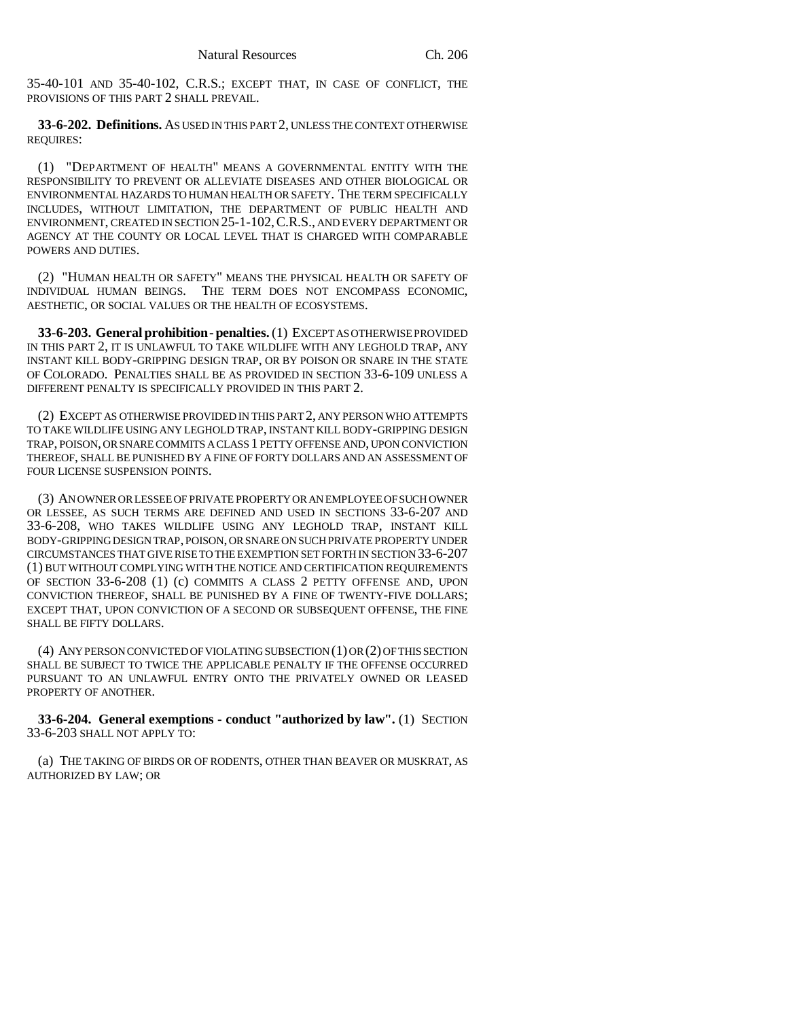35-40-101 AND 35-40-102, C.R.S.; EXCEPT THAT, IN CASE OF CONFLICT, THE PROVISIONS OF THIS PART 2 SHALL PREVAIL.

**33-6-202. Definitions.** AS USED IN THIS PART 2, UNLESS THE CONTEXT OTHERWISE REQUIRES:

(1) "DEPARTMENT OF HEALTH" MEANS A GOVERNMENTAL ENTITY WITH THE RESPONSIBILITY TO PREVENT OR ALLEVIATE DISEASES AND OTHER BIOLOGICAL OR ENVIRONMENTAL HAZARDS TO HUMAN HEALTH OR SAFETY. THE TERM SPECIFICALLY INCLUDES, WITHOUT LIMITATION, THE DEPARTMENT OF PUBLIC HEALTH AND ENVIRONMENT, CREATED IN SECTION 25-1-102,C.R.S., AND EVERY DEPARTMENT OR AGENCY AT THE COUNTY OR LOCAL LEVEL THAT IS CHARGED WITH COMPARABLE POWERS AND DUTIES.

(2) "HUMAN HEALTH OR SAFETY" MEANS THE PHYSICAL HEALTH OR SAFETY OF INDIVIDUAL HUMAN BEINGS. THE TERM DOES NOT ENCOMPASS ECONOMIC, AESTHETIC, OR SOCIAL VALUES OR THE HEALTH OF ECOSYSTEMS.

**33-6-203. General prohibition - penalties.** (1) EXCEPT AS OTHERWISE PROVIDED IN THIS PART 2, IT IS UNLAWFUL TO TAKE WILDLIFE WITH ANY LEGHOLD TRAP, ANY INSTANT KILL BODY-GRIPPING DESIGN TRAP, OR BY POISON OR SNARE IN THE STATE OF COLORADO. PENALTIES SHALL BE AS PROVIDED IN SECTION 33-6-109 UNLESS A DIFFERENT PENALTY IS SPECIFICALLY PROVIDED IN THIS PART 2.

(2) EXCEPT AS OTHERWISE PROVIDED IN THIS PART 2, ANY PERSON WHO ATTEMPTS TO TAKE WILDLIFE USING ANY LEGHOLD TRAP, INSTANT KILL BODY-GRIPPING DESIGN TRAP, POISON, OR SNARE COMMITS A CLASS 1 PETTY OFFENSE AND, UPON CONVICTION THEREOF, SHALL BE PUNISHED BY A FINE OF FORTY DOLLARS AND AN ASSESSMENT OF FOUR LICENSE SUSPENSION POINTS.

(3) AN OWNER OR LESSEE OF PRIVATE PROPERTY OR AN EMPLOYEE OF SUCH OWNER OR LESSEE, AS SUCH TERMS ARE DEFINED AND USED IN SECTIONS 33-6-207 AND 33-6-208, WHO TAKES WILDLIFE USING ANY LEGHOLD TRAP, INSTANT KILL BODY-GRIPPING DESIGN TRAP, POISON, OR SNARE ON SUCH PRIVATE PROPERTY UNDER CIRCUMSTANCES THAT GIVE RISE TO THE EXEMPTION SET FORTH IN SECTION 33-6-207 (1) BUT WITHOUT COMPLYING WITH THE NOTICE AND CERTIFICATION REQUIREMENTS OF SECTION 33-6-208 (1) (c) COMMITS A CLASS 2 PETTY OFFENSE AND, UPON CONVICTION THEREOF, SHALL BE PUNISHED BY A FINE OF TWENTY-FIVE DOLLARS; EXCEPT THAT, UPON CONVICTION OF A SECOND OR SUBSEQUENT OFFENSE, THE FINE SHALL BE FIFTY DOLLARS.

(4) ANY PERSON CONVICTED OF VIOLATING SUBSECTION (1) OR (2) OF THIS SECTION SHALL BE SUBJECT TO TWICE THE APPLICABLE PENALTY IF THE OFFENSE OCCURRED PURSUANT TO AN UNLAWFUL ENTRY ONTO THE PRIVATELY OWNED OR LEASED PROPERTY OF ANOTHER.

**33-6-204. General exemptions - conduct "authorized by law".** (1) SECTION 33-6-203 SHALL NOT APPLY TO:

(a) THE TAKING OF BIRDS OR OF RODENTS, OTHER THAN BEAVER OR MUSKRAT, AS AUTHORIZED BY LAW; OR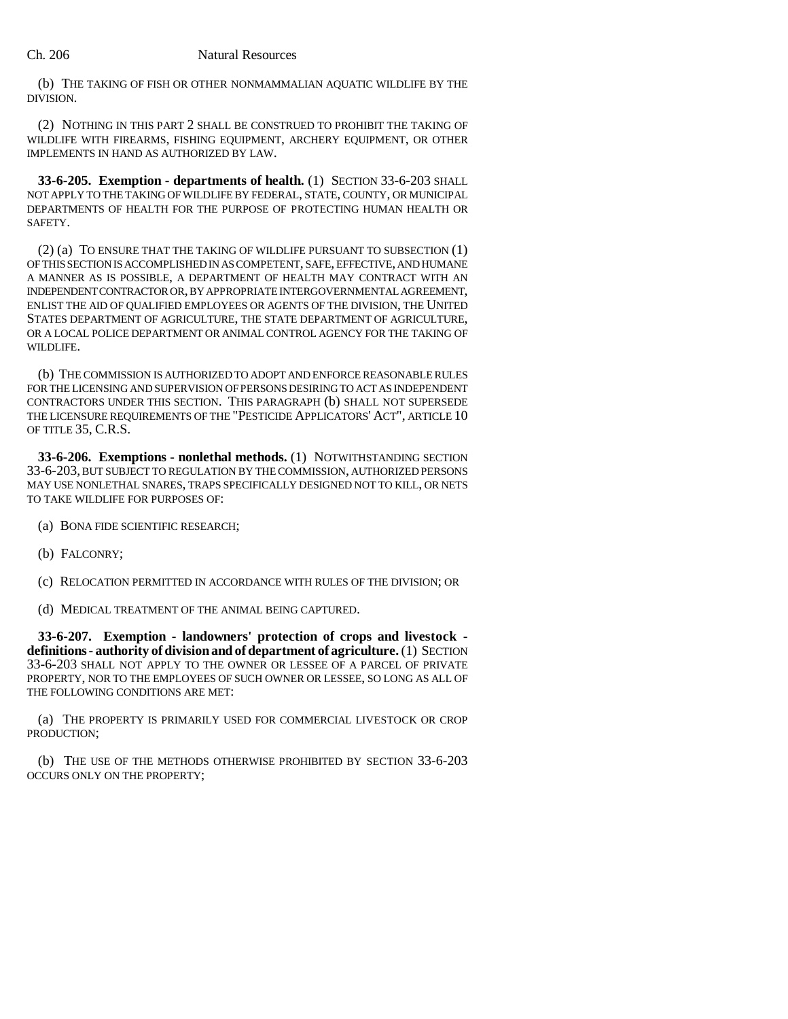(b) THE TAKING OF FISH OR OTHER NONMAMMALIAN AQUATIC WILDLIFE BY THE DIVISION.

(2) NOTHING IN THIS PART 2 SHALL BE CONSTRUED TO PROHIBIT THE TAKING OF WILDLIFE WITH FIREARMS, FISHING EQUIPMENT, ARCHERY EQUIPMENT, OR OTHER IMPLEMENTS IN HAND AS AUTHORIZED BY LAW.

**33-6-205. Exemption - departments of health.** (1) SECTION 33-6-203 SHALL NOT APPLY TO THE TAKING OF WILDLIFE BY FEDERAL, STATE, COUNTY, OR MUNICIPAL DEPARTMENTS OF HEALTH FOR THE PURPOSE OF PROTECTING HUMAN HEALTH OR SAFETY.

(2) (a) TO ENSURE THAT THE TAKING OF WILDLIFE PURSUANT TO SUBSECTION (1) OF THIS SECTION IS ACCOMPLISHED IN AS COMPETENT, SAFE, EFFECTIVE, AND HUMANE A MANNER AS IS POSSIBLE, A DEPARTMENT OF HEALTH MAY CONTRACT WITH AN INDEPENDENT CONTRACTOR OR, BY APPROPRIATE INTERGOVERNMENTAL AGREEMENT, ENLIST THE AID OF QUALIFIED EMPLOYEES OR AGENTS OF THE DIVISION, THE UNITED STATES DEPARTMENT OF AGRICULTURE, THE STATE DEPARTMENT OF AGRICULTURE, OR A LOCAL POLICE DEPARTMENT OR ANIMAL CONTROL AGENCY FOR THE TAKING OF WILDLIFE.

(b) THE COMMISSION IS AUTHORIZED TO ADOPT AND ENFORCE REASONABLE RULES FOR THE LICENSING AND SUPERVISION OF PERSONS DESIRING TO ACT AS INDEPENDENT CONTRACTORS UNDER THIS SECTION. THIS PARAGRAPH (b) SHALL NOT SUPERSEDE THE LICENSURE REQUIREMENTS OF THE "PESTICIDE APPLICATORS' ACT", ARTICLE 10 OF TITLE 35, C.R.S.

**33-6-206. Exemptions - nonlethal methods.** (1) NOTWITHSTANDING SECTION 33-6-203, BUT SUBJECT TO REGULATION BY THE COMMISSION, AUTHORIZED PERSONS MAY USE NONLETHAL SNARES, TRAPS SPECIFICALLY DESIGNED NOT TO KILL, OR NETS TO TAKE WILDLIFE FOR PURPOSES OF:

- (a) BONA FIDE SCIENTIFIC RESEARCH;
- (b) FALCONRY;
- (c) RELOCATION PERMITTED IN ACCORDANCE WITH RULES OF THE DIVISION; OR
- (d) MEDICAL TREATMENT OF THE ANIMAL BEING CAPTURED.

**33-6-207. Exemption - landowners' protection of crops and livestock definitions - authority of division and of department of agriculture.** (1) SECTION 33-6-203 SHALL NOT APPLY TO THE OWNER OR LESSEE OF A PARCEL OF PRIVATE PROPERTY, NOR TO THE EMPLOYEES OF SUCH OWNER OR LESSEE, SO LONG AS ALL OF THE FOLLOWING CONDITIONS ARE MET:

(a) THE PROPERTY IS PRIMARILY USED FOR COMMERCIAL LIVESTOCK OR CROP PRODUCTION;

(b) THE USE OF THE METHODS OTHERWISE PROHIBITED BY SECTION 33-6-203 OCCURS ONLY ON THE PROPERTY;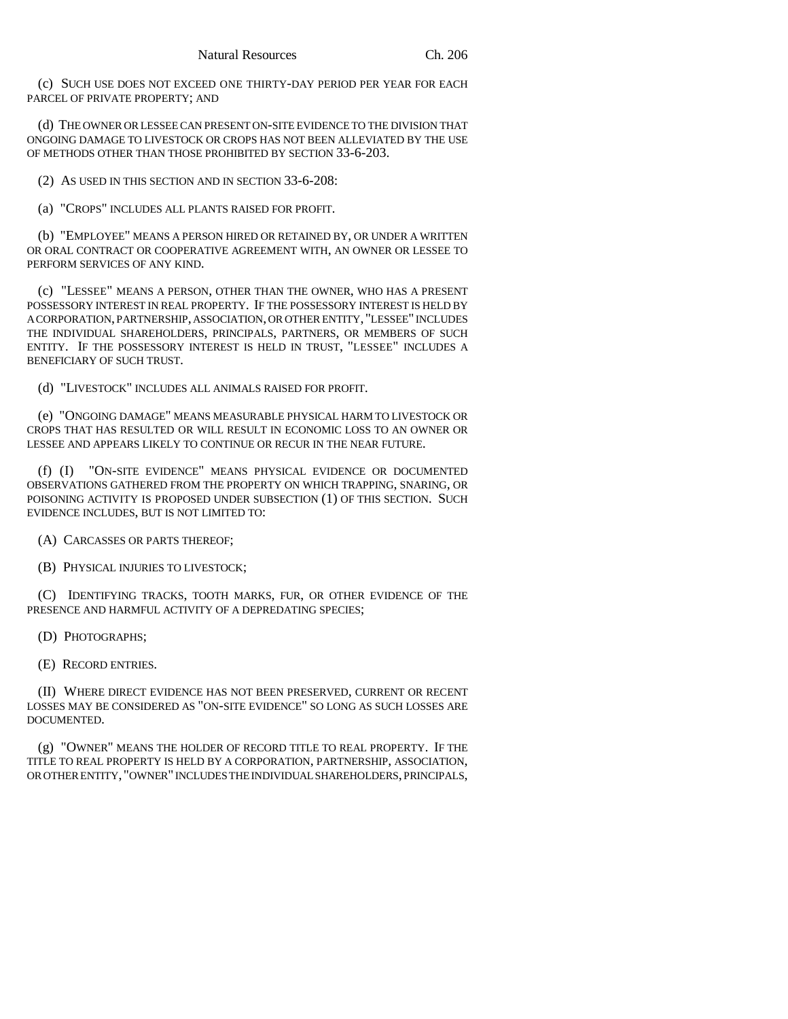(c) SUCH USE DOES NOT EXCEED ONE THIRTY-DAY PERIOD PER YEAR FOR EACH PARCEL OF PRIVATE PROPERTY; AND

(d) THE OWNER OR LESSEE CAN PRESENT ON-SITE EVIDENCE TO THE DIVISION THAT ONGOING DAMAGE TO LIVESTOCK OR CROPS HAS NOT BEEN ALLEVIATED BY THE USE OF METHODS OTHER THAN THOSE PROHIBITED BY SECTION 33-6-203.

(2) AS USED IN THIS SECTION AND IN SECTION 33-6-208:

(a) "CROPS" INCLUDES ALL PLANTS RAISED FOR PROFIT.

(b) "EMPLOYEE" MEANS A PERSON HIRED OR RETAINED BY, OR UNDER A WRITTEN OR ORAL CONTRACT OR COOPERATIVE AGREEMENT WITH, AN OWNER OR LESSEE TO PERFORM SERVICES OF ANY KIND.

(c) "LESSEE" MEANS A PERSON, OTHER THAN THE OWNER, WHO HAS A PRESENT POSSESSORY INTEREST IN REAL PROPERTY. IF THE POSSESSORY INTEREST IS HELD BY A CORPORATION, PARTNERSHIP, ASSOCIATION, OR OTHER ENTITY, "LESSEE" INCLUDES THE INDIVIDUAL SHAREHOLDERS, PRINCIPALS, PARTNERS, OR MEMBERS OF SUCH ENTITY. IF THE POSSESSORY INTEREST IS HELD IN TRUST, "LESSEE" INCLUDES A BENEFICIARY OF SUCH TRUST.

(d) "LIVESTOCK" INCLUDES ALL ANIMALS RAISED FOR PROFIT.

(e) "ONGOING DAMAGE" MEANS MEASURABLE PHYSICAL HARM TO LIVESTOCK OR CROPS THAT HAS RESULTED OR WILL RESULT IN ECONOMIC LOSS TO AN OWNER OR LESSEE AND APPEARS LIKELY TO CONTINUE OR RECUR IN THE NEAR FUTURE.

(f) (I) "ON-SITE EVIDENCE" MEANS PHYSICAL EVIDENCE OR DOCUMENTED OBSERVATIONS GATHERED FROM THE PROPERTY ON WHICH TRAPPING, SNARING, OR POISONING ACTIVITY IS PROPOSED UNDER SUBSECTION (1) OF THIS SECTION. SUCH EVIDENCE INCLUDES, BUT IS NOT LIMITED TO:

(A) CARCASSES OR PARTS THEREOF;

(B) PHYSICAL INJURIES TO LIVESTOCK;

(C) IDENTIFYING TRACKS, TOOTH MARKS, FUR, OR OTHER EVIDENCE OF THE PRESENCE AND HARMFUL ACTIVITY OF A DEPREDATING SPECIES;

(D) PHOTOGRAPHS;

(E) RECORD ENTRIES.

(II) WHERE DIRECT EVIDENCE HAS NOT BEEN PRESERVED, CURRENT OR RECENT LOSSES MAY BE CONSIDERED AS "ON-SITE EVIDENCE" SO LONG AS SUCH LOSSES ARE DOCUMENTED.

(g) "OWNER" MEANS THE HOLDER OF RECORD TITLE TO REAL PROPERTY. IF THE TITLE TO REAL PROPERTY IS HELD BY A CORPORATION, PARTNERSHIP, ASSOCIATION, OR OTHER ENTITY, "OWNER" INCLUDES THE INDIVIDUAL SHAREHOLDERS, PRINCIPALS,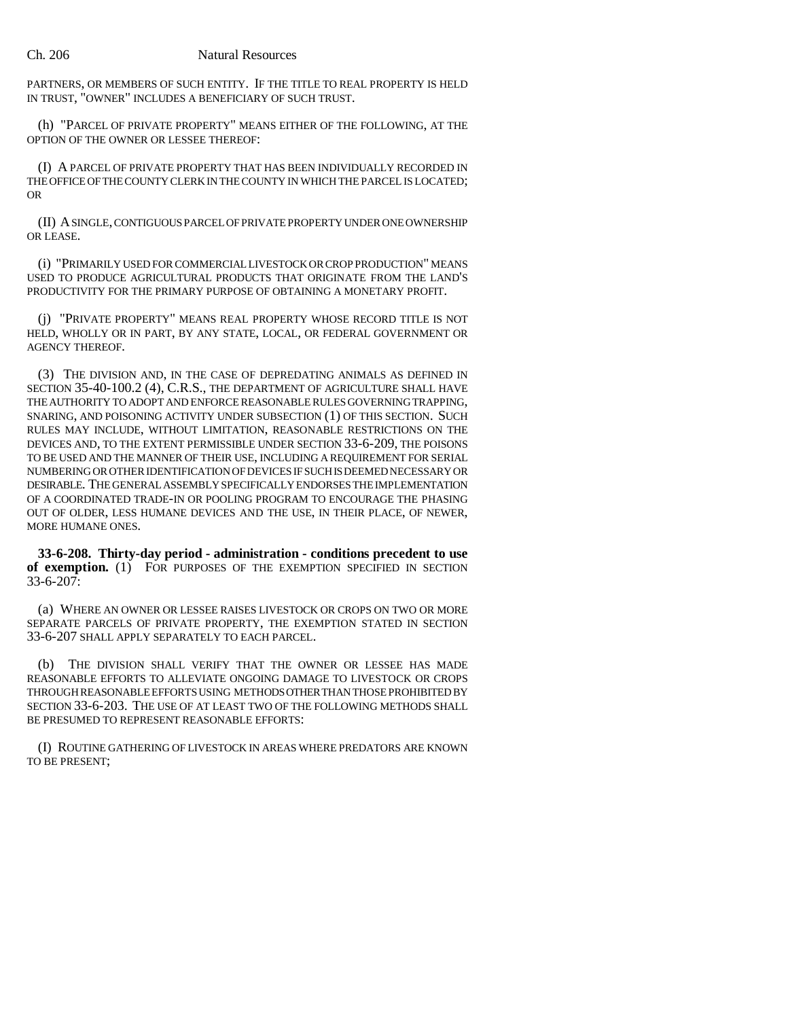PARTNERS, OR MEMBERS OF SUCH ENTITY. IF THE TITLE TO REAL PROPERTY IS HELD IN TRUST, "OWNER" INCLUDES A BENEFICIARY OF SUCH TRUST.

(h) "PARCEL OF PRIVATE PROPERTY" MEANS EITHER OF THE FOLLOWING, AT THE OPTION OF THE OWNER OR LESSEE THEREOF:

(I) A PARCEL OF PRIVATE PROPERTY THAT HAS BEEN INDIVIDUALLY RECORDED IN THE OFFICE OF THE COUNTY CLERK IN THE COUNTY IN WHICH THE PARCEL IS LOCATED; OR

(II) A SINGLE, CONTIGUOUS PARCEL OF PRIVATE PROPERTY UNDER ONE OWNERSHIP OR LEASE.

(i) "PRIMARILY USED FOR COMMERCIAL LIVESTOCK OR CROP PRODUCTION" MEANS USED TO PRODUCE AGRICULTURAL PRODUCTS THAT ORIGINATE FROM THE LAND'S PRODUCTIVITY FOR THE PRIMARY PURPOSE OF OBTAINING A MONETARY PROFIT.

(j) "PRIVATE PROPERTY" MEANS REAL PROPERTY WHOSE RECORD TITLE IS NOT HELD, WHOLLY OR IN PART, BY ANY STATE, LOCAL, OR FEDERAL GOVERNMENT OR AGENCY THEREOF.

(3) THE DIVISION AND, IN THE CASE OF DEPREDATING ANIMALS AS DEFINED IN SECTION 35-40-100.2 (4), C.R.S., THE DEPARTMENT OF AGRICULTURE SHALL HAVE THE AUTHORITY TO ADOPT AND ENFORCE REASONABLE RULES GOVERNING TRAPPING, SNARING, AND POISONING ACTIVITY UNDER SUBSECTION (1) OF THIS SECTION. SUCH RULES MAY INCLUDE, WITHOUT LIMITATION, REASONABLE RESTRICTIONS ON THE DEVICES AND, TO THE EXTENT PERMISSIBLE UNDER SECTION 33-6-209, THE POISONS TO BE USED AND THE MANNER OF THEIR USE, INCLUDING A REQUIREMENT FOR SERIAL NUMBERING OR OTHER IDENTIFICATION OF DEVICES IF SUCH IS DEEMED NECESSARY OR DESIRABLE. THE GENERAL ASSEMBLY SPECIFICALLY ENDORSES THE IMPLEMENTATION OF A COORDINATED TRADE-IN OR POOLING PROGRAM TO ENCOURAGE THE PHASING OUT OF OLDER, LESS HUMANE DEVICES AND THE USE, IN THEIR PLACE, OF NEWER, MORE HUMANE ONES.

**33-6-208. Thirty-day period - administration - conditions precedent to use of exemption.** (1) FOR PURPOSES OF THE EXEMPTION SPECIFIED IN SECTION  $33-6-207$ :

(a) WHERE AN OWNER OR LESSEE RAISES LIVESTOCK OR CROPS ON TWO OR MORE SEPARATE PARCELS OF PRIVATE PROPERTY, THE EXEMPTION STATED IN SECTION 33-6-207 SHALL APPLY SEPARATELY TO EACH PARCEL.

(b) THE DIVISION SHALL VERIFY THAT THE OWNER OR LESSEE HAS MADE REASONABLE EFFORTS TO ALLEVIATE ONGOING DAMAGE TO LIVESTOCK OR CROPS THROUGH REASONABLE EFFORTS USING METHODS OTHER THAN THOSE PROHIBITED BY SECTION 33-6-203. THE USE OF AT LEAST TWO OF THE FOLLOWING METHODS SHALL BE PRESUMED TO REPRESENT REASONABLE EFFORTS:

(I) ROUTINE GATHERING OF LIVESTOCK IN AREAS WHERE PREDATORS ARE KNOWN TO BE PRESENT;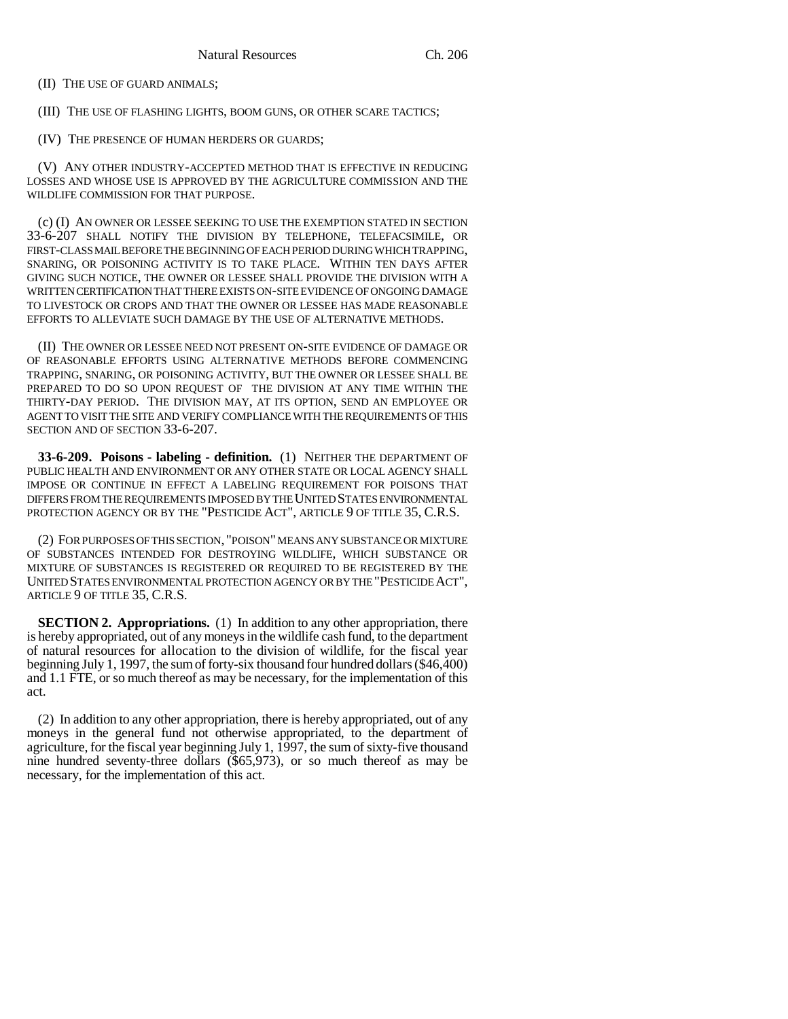(II) THE USE OF GUARD ANIMALS;

(III) THE USE OF FLASHING LIGHTS, BOOM GUNS, OR OTHER SCARE TACTICS;

(IV) THE PRESENCE OF HUMAN HERDERS OR GUARDS;

(V) ANY OTHER INDUSTRY-ACCEPTED METHOD THAT IS EFFECTIVE IN REDUCING LOSSES AND WHOSE USE IS APPROVED BY THE AGRICULTURE COMMISSION AND THE WILDLIFE COMMISSION FOR THAT PURPOSE.

(c) (I) AN OWNER OR LESSEE SEEKING TO USE THE EXEMPTION STATED IN SECTION 33-6-207 SHALL NOTIFY THE DIVISION BY TELEPHONE, TELEFACSIMILE, OR FIRST-CLASS MAIL BEFORE THE BEGINNING OF EACH PERIOD DURING WHICH TRAPPING, SNARING, OR POISONING ACTIVITY IS TO TAKE PLACE. WITHIN TEN DAYS AFTER GIVING SUCH NOTICE, THE OWNER OR LESSEE SHALL PROVIDE THE DIVISION WITH A WRITTEN CERTIFICATION THAT THERE EXISTS ON-SITE EVIDENCE OF ONGOING DAMAGE TO LIVESTOCK OR CROPS AND THAT THE OWNER OR LESSEE HAS MADE REASONABLE EFFORTS TO ALLEVIATE SUCH DAMAGE BY THE USE OF ALTERNATIVE METHODS.

(II) THE OWNER OR LESSEE NEED NOT PRESENT ON-SITE EVIDENCE OF DAMAGE OR OF REASONABLE EFFORTS USING ALTERNATIVE METHODS BEFORE COMMENCING TRAPPING, SNARING, OR POISONING ACTIVITY, BUT THE OWNER OR LESSEE SHALL BE PREPARED TO DO SO UPON REQUEST OF THE DIVISION AT ANY TIME WITHIN THE THIRTY-DAY PERIOD. THE DIVISION MAY, AT ITS OPTION, SEND AN EMPLOYEE OR AGENT TO VISIT THE SITE AND VERIFY COMPLIANCE WITH THE REQUIREMENTS OF THIS SECTION AND OF SECTION 33-6-207.

**33-6-209. Poisons - labeling - definition.** (1) NEITHER THE DEPARTMENT OF PUBLIC HEALTH AND ENVIRONMENT OR ANY OTHER STATE OR LOCAL AGENCY SHALL IMPOSE OR CONTINUE IN EFFECT A LABELING REQUIREMENT FOR POISONS THAT DIFFERS FROM THE REQUIREMENTS IMPOSED BY THE UNITED STATES ENVIRONMENTAL PROTECTION AGENCY OR BY THE "PESTICIDE ACT", ARTICLE 9 OF TITLE 35, C.R.S.

(2) FOR PURPOSES OF THIS SECTION, "POISON" MEANS ANY SUBSTANCE OR MIXTURE OF SUBSTANCES INTENDED FOR DESTROYING WILDLIFE, WHICH SUBSTANCE OR MIXTURE OF SUBSTANCES IS REGISTERED OR REQUIRED TO BE REGISTERED BY THE UNITED STATES ENVIRONMENTAL PROTECTION AGENCY OR BY THE "PESTICIDE ACT", ARTICLE 9 OF TITLE 35, C.R.S.

**SECTION 2. Appropriations.** (1) In addition to any other appropriation, there is hereby appropriated, out of any moneys in the wildlife cash fund, to the department of natural resources for allocation to the division of wildlife, for the fiscal year beginning July 1, 1997, the sum of forty-six thousand four hundred dollars (\$46,400) and 1.1 FTE, or so much thereof as may be necessary, for the implementation of this act.

(2) In addition to any other appropriation, there is hereby appropriated, out of any moneys in the general fund not otherwise appropriated, to the department of agriculture, for the fiscal year beginning July 1, 1997, the sum of sixty-five thousand nine hundred seventy-three dollars (\$65,973), or so much thereof as may be necessary, for the implementation of this act.